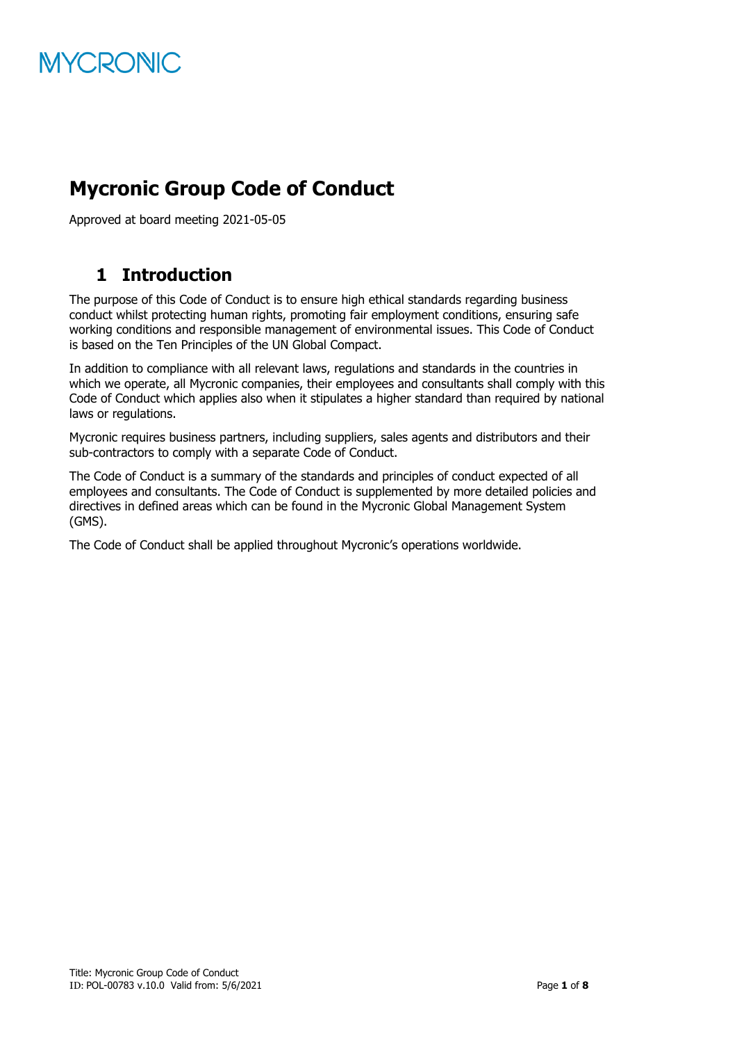

# **Mycronic Group Code of Conduct**

<span id="page-0-0"></span>Approved at board meeting 2021-05-05

# **1 Introduction**

The purpose of this Code of Conduct is to ensure high ethical standards regarding business conduct whilst protecting human rights, promoting fair employment conditions, ensuring safe working conditions and responsible management of environmental issues. This Code of Conduct is based on the Ten Principles of the UN Global Compact.

In addition to compliance with all relevant laws, regulations and standards in the countries in which we operate, all Mycronic companies, their employees and consultants shall comply with this Code of Conduct which applies also when it stipulates a higher standard than required by national laws or regulations.

Mycronic requires business partners, including suppliers, sales agents and distributors and their sub-contractors to comply with a separate Code of Conduct.

The Code of Conduct is a summary of the standards and principles of conduct expected of all employees and consultants. The Code of Conduct is supplemented by more detailed policies and directives in defined areas which can be found in the Mycronic Global Management System (GMS).

The Code of Conduct shall be applied throughout Mycronic's operations worldwide.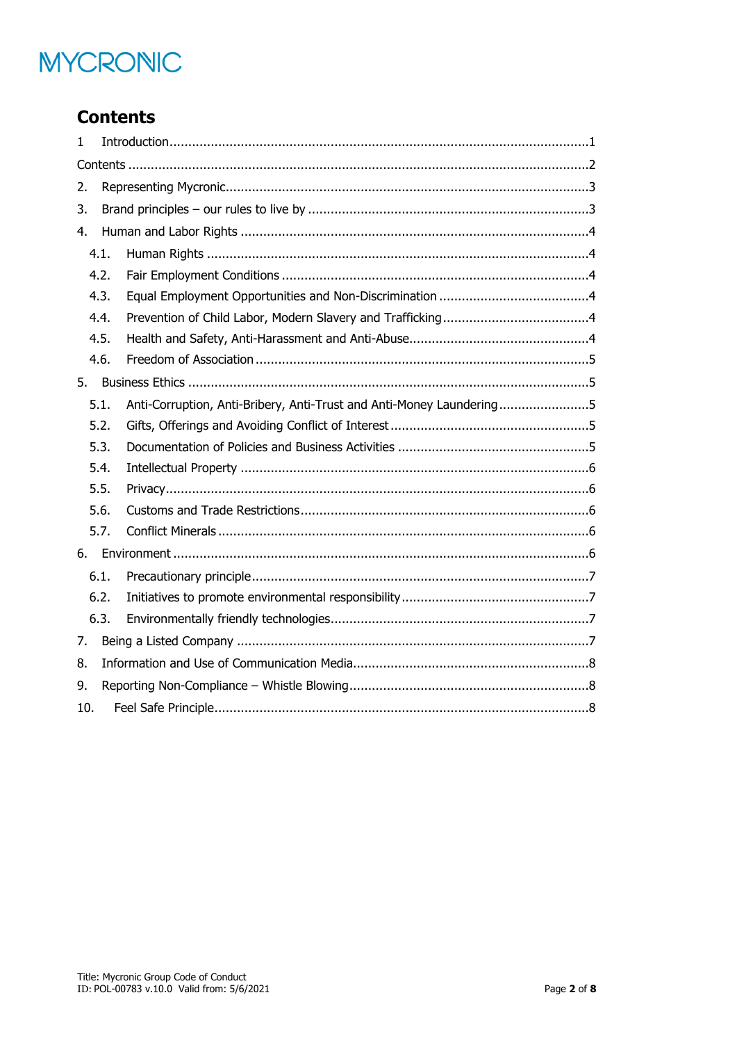# **MYCRONIC**

# <span id="page-1-0"></span>**Contents**

| 1   |      |                                                                      |  |
|-----|------|----------------------------------------------------------------------|--|
|     |      |                                                                      |  |
| 2.  |      |                                                                      |  |
| 3.  |      |                                                                      |  |
| 4.  |      |                                                                      |  |
|     | 4.1. |                                                                      |  |
|     | 4.2. |                                                                      |  |
|     | 4.3. |                                                                      |  |
|     | 4.4. |                                                                      |  |
|     | 4.5. |                                                                      |  |
|     | 4.6. |                                                                      |  |
|     | 5.   |                                                                      |  |
|     | 5.1. | Anti-Corruption, Anti-Bribery, Anti-Trust and Anti-Money Laundering5 |  |
|     | 5.2. |                                                                      |  |
|     | 5.3. |                                                                      |  |
|     | 5.4. |                                                                      |  |
|     | 5.5. |                                                                      |  |
|     | 5.6. |                                                                      |  |
|     | 5.7. |                                                                      |  |
|     |      |                                                                      |  |
|     | 6.1. |                                                                      |  |
|     | 6.2. |                                                                      |  |
|     | 6.3. |                                                                      |  |
| 7.  |      |                                                                      |  |
| 8.  |      |                                                                      |  |
| 9.  |      |                                                                      |  |
| 10. |      |                                                                      |  |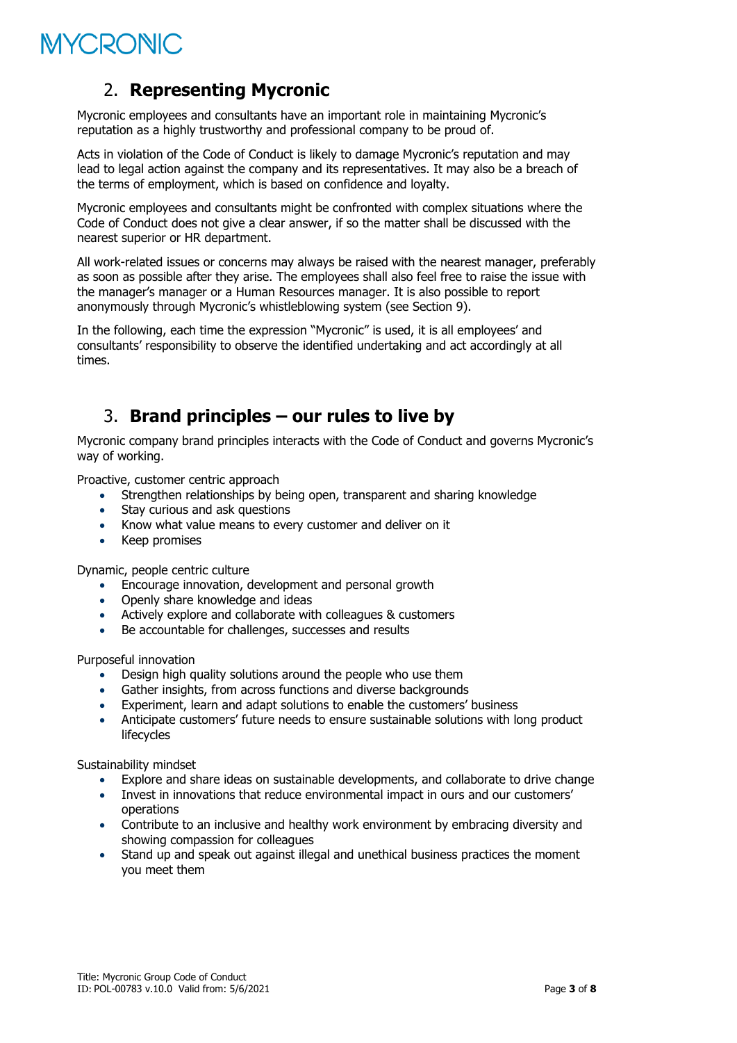

### <span id="page-2-0"></span>2. **Representing Mycronic**

Mycronic employees and consultants have an important role in maintaining Mycronic's reputation as a highly trustworthy and professional company to be proud of.

Acts in violation of the Code of Conduct is likely to damage Mycronic's reputation and may lead to legal action against the company and its representatives. It may also be a breach of the terms of employment, which is based on confidence and loyalty.

Mycronic employees and consultants might be confronted with complex situations where the Code of Conduct does not give a clear answer, if so the matter shall be discussed with the nearest superior or HR department.

All work-related issues or concerns may always be raised with the nearest manager, preferably as soon as possible after they arise. The employees shall also feel free to raise the issue with the manager's manager or a Human Resources manager. It is also possible to report anonymously through Mycronic's whistleblowing system (see Section 9).

In the following, each time the expression "Mycronic" is used, it is all employees' and consultants' responsibility to observe the identified undertaking and act accordingly at all times.

# <span id="page-2-1"></span>3. **Brand principles – our rules to live by**

Mycronic company brand principles interacts with the Code of Conduct and governs Mycronic's way of working.

Proactive, customer centric approach

- Strengthen relationships by being open, transparent and sharing knowledge
- Stay curious and ask questions
- Know what value means to every customer and deliver on it
- Keep promises

Dynamic, people centric culture

- Encourage innovation, development and personal growth
- Openly share knowledge and ideas
- Actively explore and collaborate with colleagues & customers
- Be accountable for challenges, successes and results

Purposeful innovation

- Design high quality solutions around the people who use them
- Gather insights, from across functions and diverse backgrounds
- Experiment, learn and adapt solutions to enable the customers' business
- Anticipate customers' future needs to ensure sustainable solutions with long product lifecycles

Sustainability mindset

- Explore and share ideas on sustainable developments, and collaborate to drive change
- Invest in innovations that reduce environmental impact in ours and our customers' operations
- Contribute to an inclusive and healthy work environment by embracing diversity and showing compassion for colleagues
- Stand up and speak out against illegal and unethical business practices the moment you meet them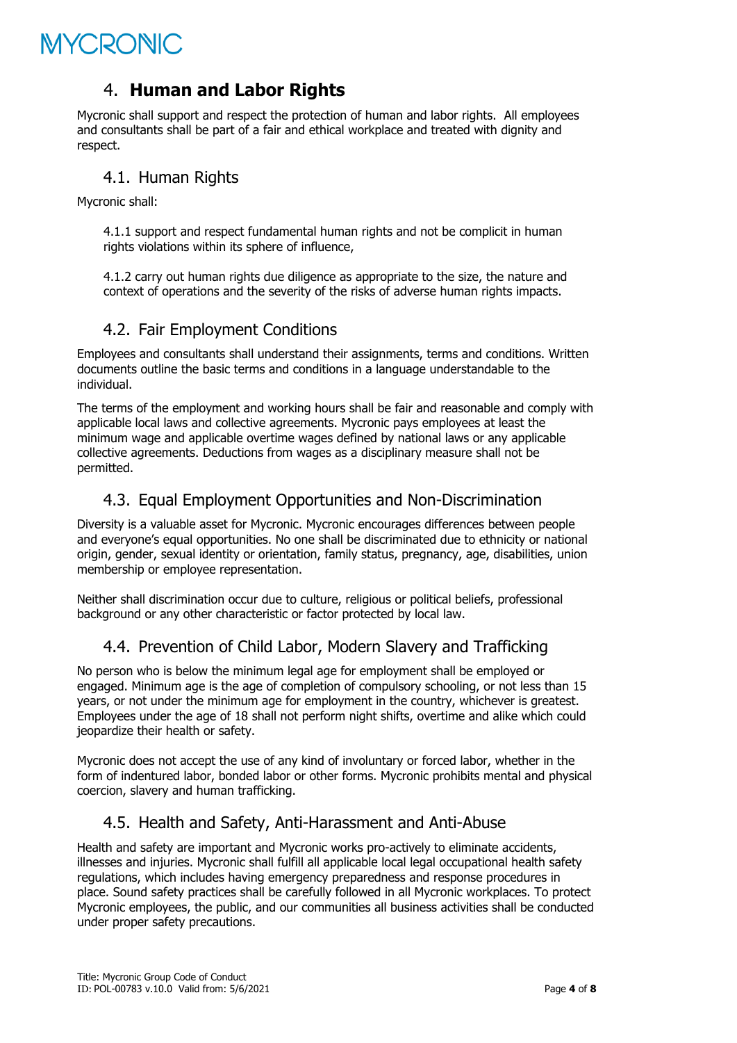

#### <span id="page-3-0"></span>4. **Human and Labor Rights**

Mycronic shall support and respect the protection of human and labor rights. All employees and consultants shall be part of a fair and ethical workplace and treated with dignity and respect.

#### <span id="page-3-1"></span>4.1. Human Rights

Mycronic shall:

4.1.1 support and respect fundamental human rights and not be complicit in human rights violations within its sphere of influence,

4.1.2 carry out human rights due diligence as appropriate to the size, the nature and context of operations and the severity of the risks of adverse human rights impacts.

#### <span id="page-3-2"></span>4.2. Fair Employment Conditions

Employees and consultants shall understand their assignments, terms and conditions. Written documents outline the basic terms and conditions in a language understandable to the individual.

The terms of the employment and working hours shall be fair and reasonable and comply with applicable local laws and collective agreements. Mycronic pays employees at least the minimum wage and applicable overtime wages defined by national laws or any applicable collective agreements. Deductions from wages as a disciplinary measure shall not be permitted.

#### <span id="page-3-3"></span>4.3. Equal Employment Opportunities and Non-Discrimination

Diversity is a valuable asset for Mycronic. Mycronic encourages differences between people and everyone's equal opportunities. No one shall be discriminated due to ethnicity or national origin, gender, sexual identity or orientation, family status, pregnancy, age, disabilities, union membership or employee representation.

Neither shall discrimination occur due to culture, religious or political beliefs, professional background or any other characteristic or factor protected by local law.

#### <span id="page-3-4"></span>4.4. Prevention of Child Labor, Modern Slavery and Trafficking

No person who is below the minimum legal age for employment shall be employed or engaged. Minimum age is the age of completion of compulsory schooling, or not less than 15 years, or not under the minimum age for employment in the country, whichever is greatest. Employees under the age of 18 shall not perform night shifts, overtime and alike which could jeopardize their health or safety.

Mycronic does not accept the use of any kind of involuntary or forced labor, whether in the form of indentured labor, bonded labor or other forms. Mycronic prohibits mental and physical coercion, slavery and human trafficking.

#### <span id="page-3-5"></span>4.5. Health and Safety, Anti-Harassment and Anti-Abuse

Health and safety are important and Mycronic works pro-actively to eliminate accidents, illnesses and injuries. Mycronic shall fulfill all applicable local legal occupational health safety regulations, which includes having emergency preparedness and response procedures in place. Sound safety practices shall be carefully followed in all Mycronic workplaces. To protect Mycronic employees, the public, and our communities all business activities shall be conducted under proper safety precautions.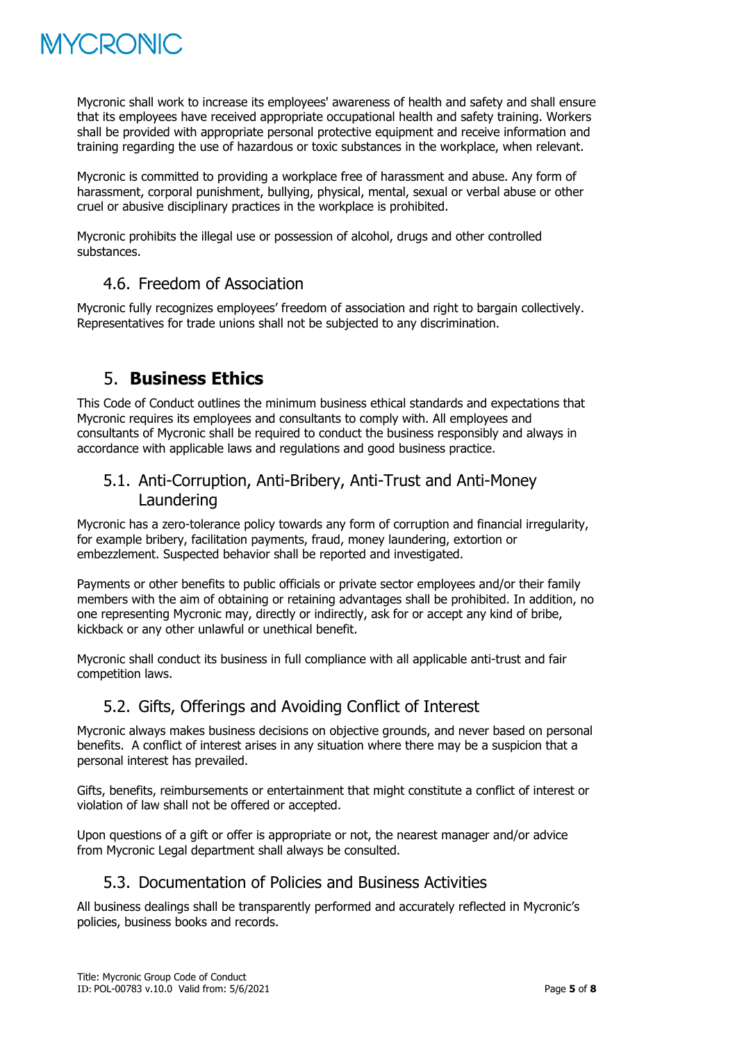

Mycronic shall work to increase its employees' awareness of health and safety and shall ensure that its employees have received appropriate occupational health and safety training. Workers shall be provided with appropriate personal protective equipment and receive information and training regarding the use of hazardous or toxic substances in the workplace, when relevant.

Mycronic is committed to providing a workplace free of harassment and abuse. Any form of harassment, corporal punishment, bullying, physical, mental, sexual or verbal abuse or other cruel or abusive disciplinary practices in the workplace is prohibited.

Mycronic prohibits the illegal use or possession of alcohol, drugs and other controlled substances.

#### <span id="page-4-0"></span>4.6. Freedom of Association

Mycronic fully recognizes employees' freedom of association and right to bargain collectively. Representatives for trade unions shall not be subjected to any discrimination.

## <span id="page-4-1"></span>5. **Business Ethics**

This Code of Conduct outlines the minimum business ethical standards and expectations that Mycronic requires its employees and consultants to comply with. All employees and consultants of Mycronic shall be required to conduct the business responsibly and always in accordance with applicable laws and regulations and good business practice.

#### <span id="page-4-2"></span>5.1. Anti-Corruption, Anti-Bribery, Anti-Trust and Anti-Money Laundering

Mycronic has a zero-tolerance policy towards any form of corruption and financial irregularity, for example bribery, facilitation payments, fraud, money laundering, extortion or embezzlement. Suspected behavior shall be reported and investigated.

Payments or other benefits to public officials or private sector employees and/or their family members with the aim of obtaining or retaining advantages shall be prohibited. In addition, no one representing Mycronic may, directly or indirectly, ask for or accept any kind of bribe, kickback or any other unlawful or unethical benefit.

Mycronic shall conduct its business in full compliance with all applicable anti-trust and fair competition laws.

#### <span id="page-4-3"></span>5.2. Gifts, Offerings and Avoiding Conflict of Interest

Mycronic always makes business decisions on objective grounds, and never based on personal benefits. A conflict of interest arises in any situation where there may be a suspicion that a personal interest has prevailed.

Gifts, benefits, reimbursements or entertainment that might constitute a conflict of interest or violation of law shall not be offered or accepted.

Upon questions of a gift or offer is appropriate or not, the nearest manager and/or advice from Mycronic Legal department shall always be consulted.

#### <span id="page-4-4"></span>5.3. Documentation of Policies and Business Activities

All business dealings shall be transparently performed and accurately reflected in Mycronic's policies, business books and records.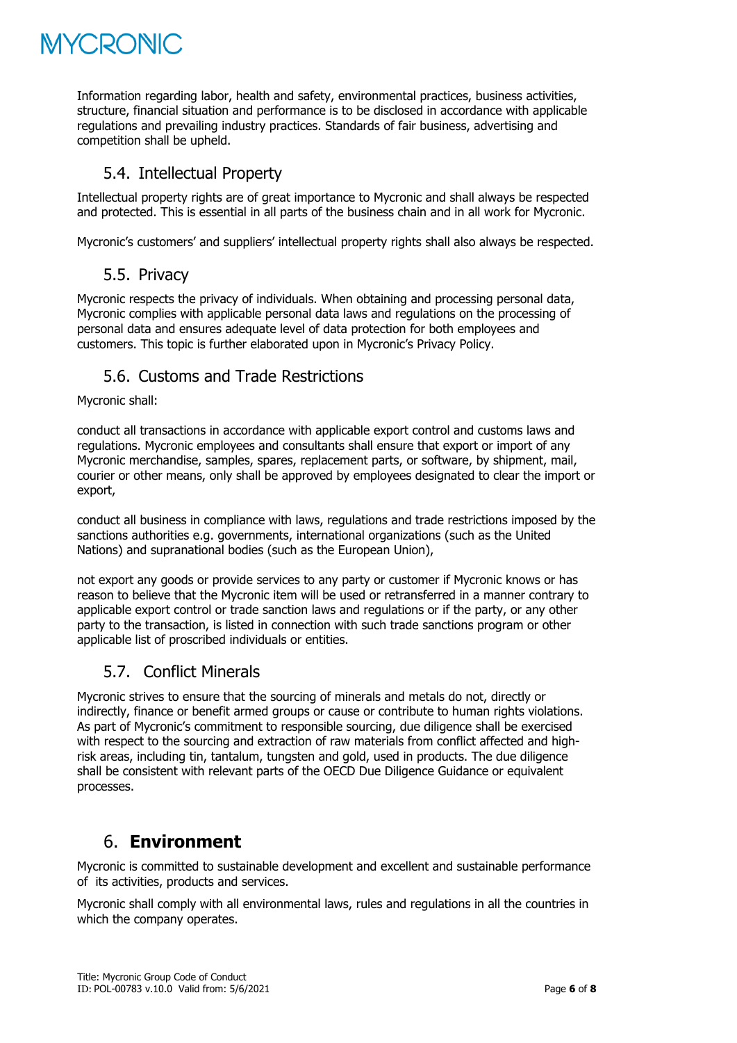

Information regarding labor, health and safety, environmental practices, business activities, structure, financial situation and performance is to be disclosed in accordance with applicable regulations and prevailing industry practices. Standards of fair business, advertising and competition shall be upheld.

#### <span id="page-5-0"></span>5.4. Intellectual Property

Intellectual property rights are of great importance to Mycronic and shall always be respected and protected. This is essential in all parts of the business chain and in all work for Mycronic.

Mycronic's customers' and suppliers' intellectual property rights shall also always be respected.

#### <span id="page-5-1"></span>5.5. Privacy

Mycronic respects the privacy of individuals. When obtaining and processing personal data, Mycronic complies with applicable personal data laws and regulations on the processing of personal data and ensures adequate level of data protection for both employees and customers. This topic is further elaborated upon in Mycronic's Privacy Policy.

#### <span id="page-5-2"></span>5.6. Customs and Trade Restrictions

Mycronic shall:

conduct all transactions in accordance with applicable export control and customs laws and regulations. Mycronic employees and consultants shall ensure that export or import of any Mycronic merchandise, samples, spares, replacement parts, or software, by shipment, mail, courier or other means, only shall be approved by employees designated to clear the import or export,

conduct all business in compliance with laws, regulations and trade restrictions imposed by the sanctions authorities e.g. governments, international organizations (such as the United Nations) and supranational bodies (such as the European Union),

not export any goods or provide services to any party or customer if Mycronic knows or has reason to believe that the Mycronic item will be used or retransferred in a manner contrary to applicable export control or trade sanction laws and regulations or if the party, or any other party to the transaction, is listed in connection with such trade sanctions program or other applicable list of proscribed individuals or entities.

#### <span id="page-5-3"></span>5.7. Conflict Minerals

Mycronic strives to ensure that the sourcing of minerals and metals do not, directly or indirectly, finance or benefit armed groups or cause or contribute to human rights violations. As part of Mycronic's commitment to responsible sourcing, due diligence shall be exercised with respect to the sourcing and extraction of raw materials from conflict affected and highrisk areas, including tin, tantalum, tungsten and gold, used in products. The due diligence shall be consistent with relevant parts of the OECD Due Diligence Guidance or equivalent processes.

## <span id="page-5-4"></span>6. **Environment**

Mycronic is committed to sustainable development and excellent and sustainable performance of its activities, products and services.

Mycronic shall comply with all environmental laws, rules and regulations in all the countries in which the company operates.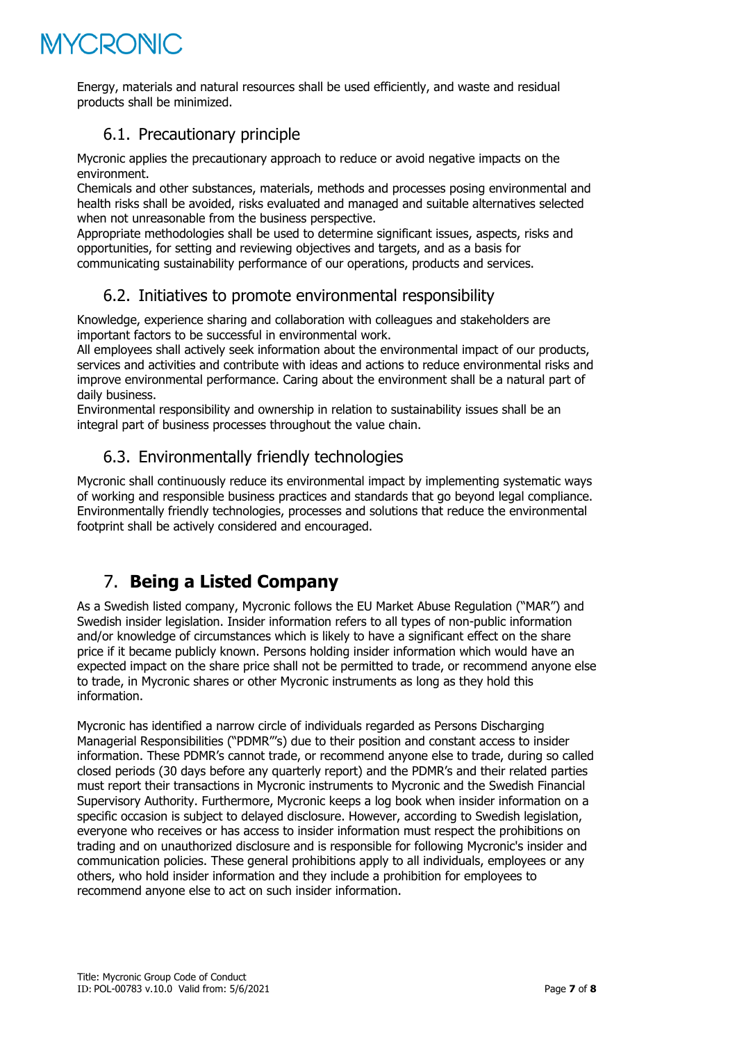

Energy, materials and natural resources shall be used efficiently, and waste and residual products shall be minimized.

#### <span id="page-6-0"></span>6.1. Precautionary principle

Mycronic applies the precautionary approach to reduce or avoid negative impacts on the environment.

Chemicals and other substances, materials, methods and processes posing environmental and health risks shall be avoided, risks evaluated and managed and suitable alternatives selected when not unreasonable from the business perspective.

Appropriate methodologies shall be used to determine significant issues, aspects, risks and opportunities, for setting and reviewing objectives and targets, and as a basis for communicating sustainability performance of our operations, products and services.

#### <span id="page-6-1"></span>6.2. Initiatives to promote environmental responsibility

Knowledge, experience sharing and collaboration with colleagues and stakeholders are important factors to be successful in environmental work.

All employees shall actively seek information about the environmental impact of our products, services and activities and contribute with ideas and actions to reduce environmental risks and improve environmental performance. Caring about the environment shall be a natural part of daily business.

Environmental responsibility and ownership in relation to sustainability issues shall be an integral part of business processes throughout the value chain.

#### <span id="page-6-2"></span>6.3. Environmentally friendly technologies

Mycronic shall continuously reduce its environmental impact by implementing systematic ways of working and responsible business practices and standards that go beyond legal compliance. Environmentally friendly technologies, processes and solutions that reduce the environmental footprint shall be actively considered and encouraged.

# <span id="page-6-3"></span>7. **Being a Listed Company**

As a Swedish listed company, Mycronic follows the EU Market Abuse Regulation ("MAR") and Swedish insider legislation. Insider information refers to all types of non-public information and/or knowledge of circumstances which is likely to have a significant effect on the share price if it became publicly known. Persons holding insider information which would have an expected impact on the share price shall not be permitted to trade, or recommend anyone else to trade, in Mycronic shares or other Mycronic instruments as long as they hold this information.

Mycronic has identified a narrow circle of individuals regarded as Persons Discharging Managerial Responsibilities ("PDMR"'s) due to their position and constant access to insider information. These PDMR's cannot trade, or recommend anyone else to trade, during so called closed periods (30 days before any quarterly report) and the PDMR's and their related parties must report their transactions in Mycronic instruments to Mycronic and the Swedish Financial Supervisory Authority. Furthermore, Mycronic keeps a log book when insider information on a specific occasion is subject to delayed disclosure. However, according to Swedish legislation, everyone who receives or has access to insider information must respect the prohibitions on trading and on unauthorized disclosure and is responsible for following Mycronic's insider and communication policies. These general prohibitions apply to all individuals, employees or any others, who hold insider information and they include a prohibition for employees to recommend anyone else to act on such insider information.